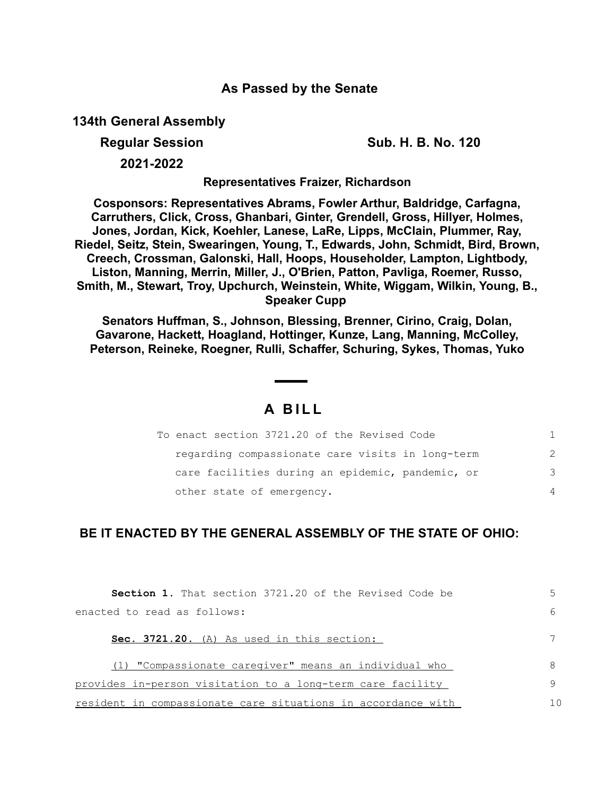## **As Passed by the Senate**

**134th General Assembly**

**Regular Session Sub. H. B. No. 120**

**2021-2022**

**Representatives Fraizer, Richardson**

**Cosponsors: Representatives Abrams, Fowler Arthur, Baldridge, Carfagna, Carruthers, Click, Cross, Ghanbari, Ginter, Grendell, Gross, Hillyer, Holmes, Jones, Jordan, Kick, Koehler, Lanese, LaRe, Lipps, McClain, Plummer, Ray, Riedel, Seitz, Stein, Swearingen, Young, T., Edwards, John, Schmidt, Bird, Brown, Creech, Crossman, Galonski, Hall, Hoops, Householder, Lampton, Lightbody, Liston, Manning, Merrin, Miller, J., O'Brien, Patton, Pavliga, Roemer, Russo, Smith, M., Stewart, Troy, Upchurch, Weinstein, White, Wiggam, Wilkin, Young, B., Speaker Cupp** 

**Senators Huffman, S., Johnson, Blessing, Brenner, Cirino, Craig, Dolan, Gavarone, Hackett, Hoagland, Hottinger, Kunze, Lang, Manning, McColley, Peterson, Reineke, Roegner, Rulli, Schaffer, Schuring, Sykes, Thomas, Yuko**

## **A B I L L**

| To enact section 3721.20 of the Revised Code     |               |
|--------------------------------------------------|---------------|
| regarding compassionate care visits in long-term | $\mathcal{P}$ |
| care facilities during an epidemic, pandemic, or | 3             |
| other state of emergency.                        | $\Delta$      |

## **BE IT ENACTED BY THE GENERAL ASSEMBLY OF THE STATE OF OHIO:**

| <b>Section 1.</b> That section 3721.20 of the Revised Code be |     |
|---------------------------------------------------------------|-----|
| enacted to read as follows:                                   |     |
| Sec. 3721.20. (A) As used in this section:                    |     |
| (1) "Compassionate caregiver" means an individual who         |     |
| provides in-person visitation to a long-term care facility    |     |
| resident in compassionate care situations in accordance with  | 1 N |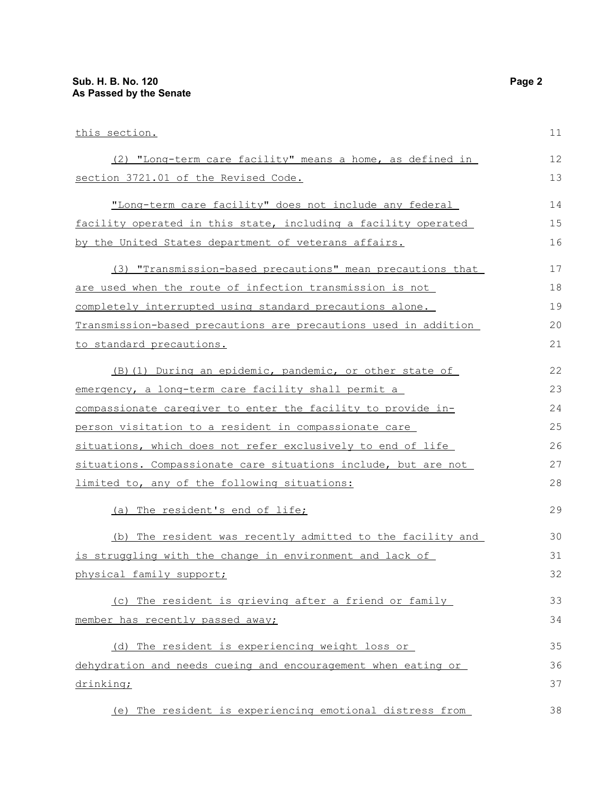| this section.                                                   | 11 |
|-----------------------------------------------------------------|----|
| (2) "Long-term care facility" means a home, as defined in       | 12 |
| section 3721.01 of the Revised Code.                            | 13 |
| "Long-term care facility" does not include any federal          | 14 |
| facility operated in this state, including a facility operated  | 15 |
| by the United States department of veterans affairs.            | 16 |
| (3) "Transmission-based precautions" mean precautions that      | 17 |
| are used when the route of infection transmission is not        | 18 |
| completely interrupted using standard precautions alone.        | 19 |
| Transmission-based precautions are precautions used in addition | 20 |
| to standard precautions.                                        | 21 |
| (B) (1) During an epidemic, pandemic, or other state of         | 22 |
| emergency, a long-term care facility shall permit a             | 23 |
| compassionate caregiver to enter the facility to provide in-    | 24 |
| person visitation to a resident in compassionate care           | 25 |
| situations, which does not refer exclusively to end of life     | 26 |
| situations. Compassionate care situations include, but are not  | 27 |
| limited to, any of the following situations:                    | 28 |
| (a) The resident's end of life;                                 | 29 |
| (b) The resident was recently admitted to the facility and      | 30 |
| is struggling with the change in environment and lack of        | 31 |
| physical family support;                                        | 32 |
| (c) The resident is grieving after a friend or family           | 33 |
| member has recently passed away;                                | 34 |
| (d) The resident is experiencing weight loss or                 | 35 |
| dehydration and needs cueing and encouragement when eating or   | 36 |
| drinking;                                                       | 37 |

(e) The resident is experiencing emotional distress from 38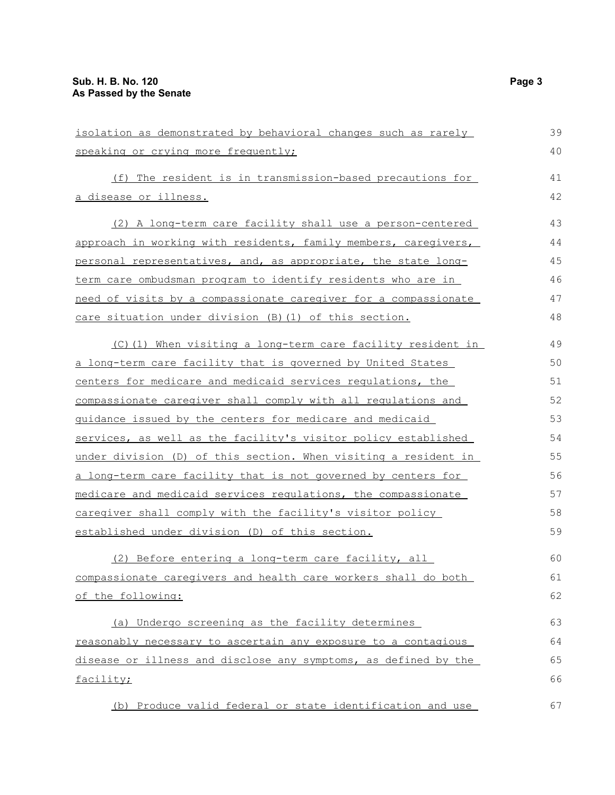| isolation as demonstrated by behavioral changes such as rarely  | 39 |
|-----------------------------------------------------------------|----|
| speaking or crying more frequently;                             | 40 |
| (f) The resident is in transmission-based precautions for       | 41 |
| a disease or illness.                                           | 42 |
| (2) A long-term care facility shall use a person-centered       | 43 |
| approach in working with residents, family members, caregivers, | 44 |
| personal representatives, and, as appropriate, the state long-  | 45 |
| term care ombudsman program to identify residents who are in    | 46 |
| need of visits by a compassionate caregiver for a compassionate | 47 |
| care situation under division (B) (1) of this section.          | 48 |
| (C)(1) When visiting a long-term care facility resident in      | 49 |
| a long-term care facility that is governed by United States     | 50 |
| centers for medicare and medicaid services regulations, the     | 51 |
| compassionate caregiver shall comply with all regulations and   | 52 |
| guidance issued by the centers for medicare and medicaid        | 53 |
| services, as well as the facility's visitor policy established  | 54 |
| under division (D) of this section. When visiting a resident in | 55 |
| a long-term care facility that is not governed by centers for   | 56 |
| medicare and medicaid services regulations, the compassionate   | 57 |
| caregiver shall comply with the facility's visitor policy       | 58 |
| established under division (D) of this section.                 | 59 |
| (2) Before entering a long-term care facility, all              | 60 |
| compassionate caregivers and health care workers shall do both  | 61 |
| of the following:                                               | 62 |
| (a) Undergo screening as the facility determines                | 63 |
| reasonably necessary to ascertain any exposure to a contagious  | 64 |
| disease or illness and disclose any symptoms, as defined by the | 65 |
| facility;                                                       | 66 |
| (b) Produce valid federal or state identification and use       | 67 |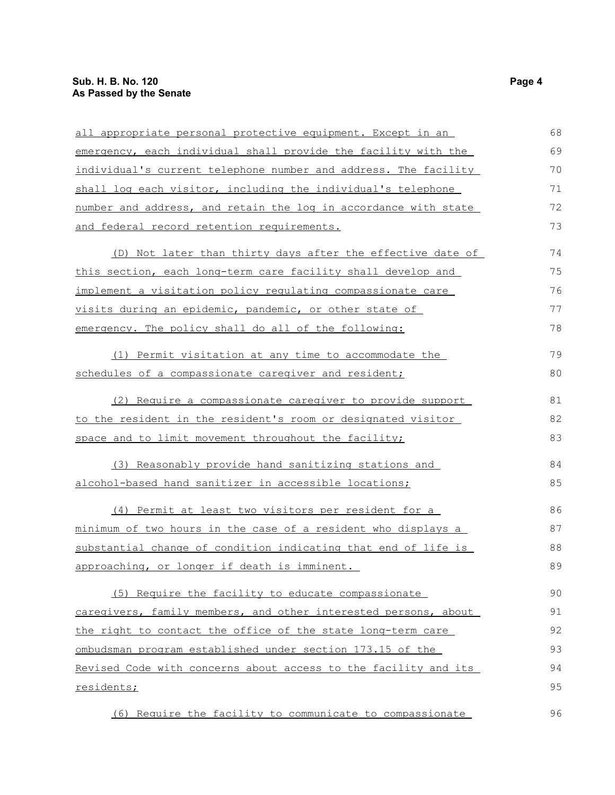## **Sub. H. B. No. 120 Page 4 As Passed by the Senate**

| all appropriate personal protective equipment. Except in an           | 68 |
|-----------------------------------------------------------------------|----|
| emergency, each individual shall provide the facility with the        | 69 |
| individual's current telephone number and address. The facility       | 70 |
| shall log each visitor, including the individual's telephone          | 71 |
| number and address, and retain the log in accordance with state       | 72 |
| and federal record retention requirements.                            | 73 |
| (D) Not later than thirty days after the effective date of            | 74 |
| this section, each long-term care facility shall develop and          | 75 |
| implement a visitation policy regulating compassionate care           | 76 |
| visits during an epidemic, pandemic, or other state of                | 77 |
| emergency. The policy shall do all of the following:                  | 78 |
| (1) Permit visitation at any time to accommodate the                  | 79 |
| schedules of a compassionate caregiver and resident;                  | 80 |
| (2) Require a compassionate caregiver to provide support              | 81 |
| to the resident in the resident's room or designated visitor          | 82 |
| space and to limit movement throughout the facility;                  | 83 |
| (3) Reasonably provide hand sanitizing stations and                   | 84 |
| alcohol-based hand sanitizer in accessible locations;                 | 85 |
| (4) Permit at least two visitors per resident for a                   | 86 |
| <u>minimum of two hours in the case of a resident who displays a </u> | 87 |
| substantial change of condition indicating that end of life is        | 88 |
| approaching, or longer if death is imminent.                          | 89 |
| (5) Require the facility to educate compassionate                     | 90 |
| caregivers, family members, and other interested persons, about       | 91 |
| the right to contact the office of the state long-term care           | 92 |
| ombudsman program established under section 173.15 of the             | 93 |
| Revised Code with concerns about access to the facility and its       | 94 |
| residents;                                                            | 95 |
| (6) Require the facility to communicate to compassionate              | 96 |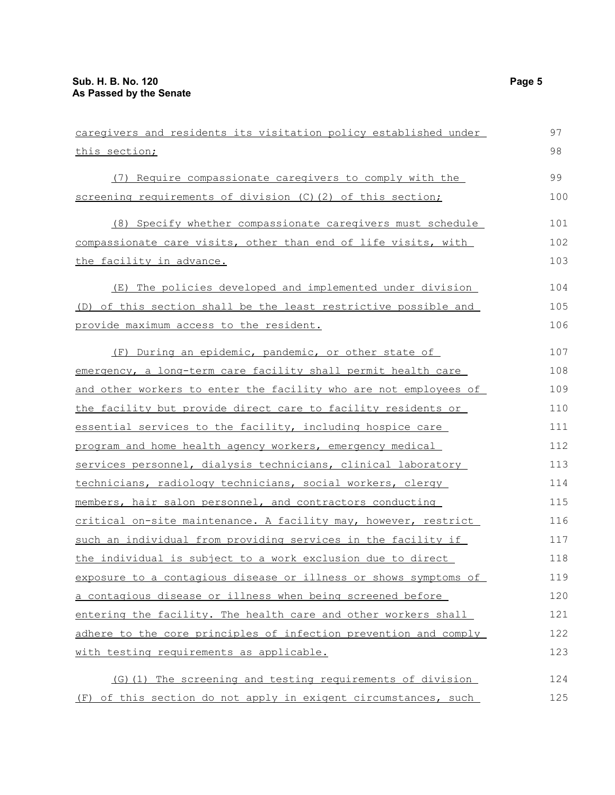| caregivers and residents its visitation policy established under | 97  |
|------------------------------------------------------------------|-----|
| this section;                                                    | 98  |
| (7) Require compassionate caregivers to comply with the          | 99  |
| screening requirements of division (C) (2) of this section;      | 100 |
| (8) Specify whether compassionate caregivers must schedule       | 101 |
| compassionate care visits, other than end of life visits, with   | 102 |
| the facility in advance.                                         | 103 |
| (E) The policies developed and implemented under division        | 104 |
| (D) of this section shall be the least restrictive possible and  | 105 |
| provide maximum access to the resident.                          | 106 |
| (F) During an epidemic, pandemic, or other state of              | 107 |
| emergency, a long-term care facility shall permit health care    | 108 |
| and other workers to enter the facility who are not employees of | 109 |
| the facility but provide direct care to facility residents or    | 110 |
| essential services to the facility, including hospice care       | 111 |
| program and home health agency workers, emergency medical        | 112 |
| services personnel, dialysis technicians, clinical laboratory    | 113 |
| technicians, radiology technicians, social workers, clergy       | 114 |
| members, hair salon personnel, and contractors conducting        | 115 |
| critical on-site maintenance. A facility may, however, restrict  | 116 |
| such an individual from providing services in the facility if    | 117 |
| the individual is subject to a work exclusion due to direct      | 118 |
| exposure to a contagious disease or illness or shows symptoms of | 119 |
| a contagious disease or illness when being screened before       | 120 |
| entering the facility. The health care and other workers shall   | 121 |
| adhere to the core principles of infection prevention and comply | 122 |
| with testing requirements as applicable.                         | 123 |
| (G) (1) The screening and testing requirements of division       | 124 |
| (F) of this section do not apply in exigent circumstances, such  | 125 |